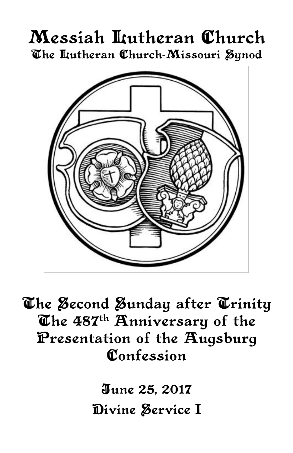# Messiah Lutheran Church The Lutheran Church-Missouri Synod



The Second Sunday after Trinity The 487<sup>th</sup> Anniversary of the Presentation of the Augsburg Confession

> June 25, 2017 Divine Service I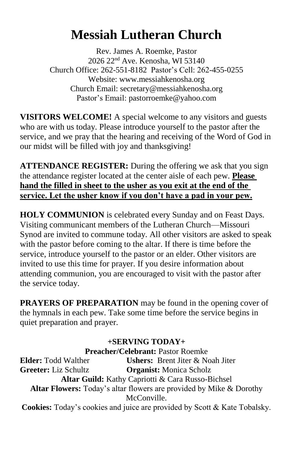# **Messiah Lutheran Church**

Rev. James A. Roemke, Pastor 2026 22nd Ave. Kenosha, WI 53140 Church Office: 262-551-8182 Pastor's Cell: 262-455-0255 Website: www.messiahkenosha.org Church Email: secretary@messiahkenosha.org Pastor's Email: pastorroemke@yahoo.com

**VISITORS WELCOME!** A special welcome to any visitors and guests who are with us today. Please introduce yourself to the pastor after the service, and we pray that the hearing and receiving of the Word of God in our midst will be filled with joy and thanksgiving!

**ATTENDANCE REGISTER:** During the offering we ask that you sign the attendance register located at the center aisle of each pew. **Please hand the filled in sheet to the usher as you exit at the end of the service. Let the usher know if you don't have a pad in your pew.**

**HOLY COMMUNION** is celebrated every Sunday and on Feast Days. Visiting communicant members of the Lutheran Church—Missouri Synod are invited to commune today. All other visitors are asked to speak with the pastor before coming to the altar. If there is time before the service, introduce yourself to the pastor or an elder. Other visitors are invited to use this time for prayer. If you desire information about attending communion, you are encouraged to visit with the pastor after the service today.

**PRAYERS OF PREPARATION** may be found in the opening cover of the hymnals in each pew. Take some time before the service begins in quiet preparation and prayer.

# **+SERVING TODAY+**

**Preacher/Celebrant:** Pastor Roemke **Elder:** Todd Walther **Ushers:** Brent Jiter & Noah Jiter **Greeter:** Liz Schultz **Organist:** Monica Scholz **Altar Guild:** Kathy Capriotti & Cara Russo-Bichsel **Altar Flowers:** Today's altar flowers are provided by Mike & Dorothy McConville.

**Cookies:** Today's cookies and juice are provided by Scott & Kate Tobalsky.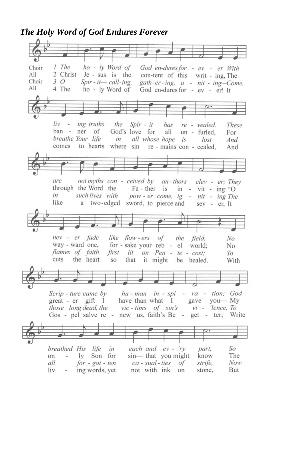*The Holy Word of God Endures Forever*

| 1 The ho - ly Word of<br>Choir<br>God en-dures for - ev - er With                                         |
|-----------------------------------------------------------------------------------------------------------|
| All<br>2 Christ Je - sus is the<br>con-tent of this writ - ing, The                                       |
| Choir<br>$3\,O$<br>$Spir - it - call - ing$ ,<br>gath-er-ing, u - nit - ing-Come,                         |
| All<br>4 The ho - ly Word of<br>God en-dures for - ev - er! It                                            |
|                                                                                                           |
| $\frac{1}{2}$                                                                                             |
|                                                                                                           |
| $liv -$<br>ing truths the Spir - it has re - vealed.<br><i>These</i>                                      |
| ban - ner of God's love for all un - furled,<br>For                                                       |
| breathe Your life in all whose hope is<br>lost<br>And                                                     |
| comes to hearts where sin re-mains con-cealed,<br>And                                                     |
|                                                                                                           |
|                                                                                                           |
|                                                                                                           |
| not myths con - ceived by au-thors clev - er; They<br>are                                                 |
| through the Word the Fa-ther is in - vit - ing: "O                                                        |
| such lives with pow-er come, ig-<br>in<br>nit - ing The                                                   |
| a two-edged sword, to pierce and sev - er, It<br>like                                                     |
|                                                                                                           |
|                                                                                                           |
|                                                                                                           |
| nev - er fade like flow-ers of the field.                                                                 |
| No<br>No                                                                                                  |
| way - ward one, for - sake your reb - el world;<br>flames of faith<br>first lit on Pen - te - cost;<br>То |
| cuts the heart<br>so that it might be healed.<br>With                                                     |
|                                                                                                           |
| $\frac{1}{2}$                                                                                             |
|                                                                                                           |
| Scrip-ture came by hu-man in - spi - ra - tion; God                                                       |
| gave you-My<br>$\gamma$ great - er gift I<br>have than what I                                             |
| those long dead, the vic-tims of sin's vi - 'lence, To                                                    |
| Gos - pel salve re - new us, faith's Be - get - ter; Write                                                |
|                                                                                                           |
|                                                                                                           |
|                                                                                                           |
| So<br>breathed His life in<br>each and ev - 'ry<br>part,                                                  |
| sin— that you might<br>The<br>- ly Son for<br>know<br>on                                                  |
| $for - got - ten$<br>ca - sual - ties<br>strife,<br>Now<br>all<br>of                                      |
| liv -<br>ing words, yet<br>not with ink<br>But<br>on<br>stone.<br>H.                                      |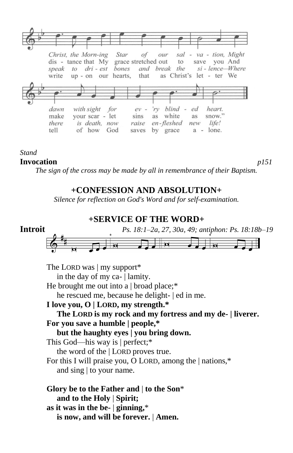

### *Stand*

### **Invocation** *p151*

*The sign of the cross may be made by all in remembrance of their Baptism.*

## **+CONFESSION AND ABSOLUTION+**

*Silence for reflection on God's Word and for self-examination.*

### **+SERVICE OF THE WORD+**



The LORD was | my support\* in the day of my ca- | lamity. He brought me out into a  $\vert$  broad place:\* he rescued me, because he delight- | ed in me. **I love you, O | LORD, my strength.\* The LORD is my rock and my fortress and my de- | liverer. For you save a humble | people,\* but the haughty eyes | you bring down.** This God—his way is | perfect;\* the word of the | LORD proves true. For this I will praise you, O LORD, among the | nations,\* and sing | to your name. **Glory be to the Father and** | **to the Son**\*  **and to the Holy** | **Spirit; as it was in the be-** | **ginning,**\*  **is now, and will be forever.** | **Amen.**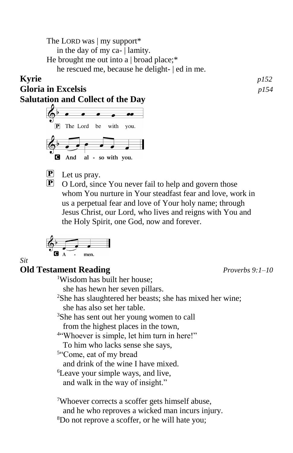The LORD was | my support\* in the day of my ca- | lamity. He brought me out into a | broad place;\* he rescued me, because he delight- | ed in me.

## **Kyrie** *p152*

**Gloria in Excelsis** *p154*

**Salutation and Collect of the Day**



- **P** Let us pray.
- **P** O Lord, since You never fail to help and govern those whom You nurture in Your steadfast fear and love, work in us a perpetual fear and love of Your holy name; through Jesus Christ, our Lord, who lives and reigns with You and the Holy Spirit, one God, now and forever.

$$
\begin{array}{c}\n\begin{array}{ccc}\n\bullet \\
\bullet \\
\bullet \\
\bullet\n\end{array} & \begin{array}{ccc}\n\bullet \\
\bullet \\
\bullet \\
\bullet\n\end{array}\n\end{array}
$$

# **Old Testament Reading** *Proverbs 9:1–10*

*Sit*

<sup>1</sup>Wisdom has built her house; she has hewn her seven pillars. <sup>2</sup>She has slaughtered her beasts; she has mixed her wine; she has also set her table. <sup>3</sup>She has sent out her young women to call from the highest places in the town, 4 "Whoever is simple, let him turn in here!" To him who lacks sense she says, 5 "Come, eat of my bread and drink of the wine I have mixed. <sup>6</sup>Leave your simple ways, and live, and walk in the way of insight." <sup>7</sup>Whoever corrects a scoffer gets himself abuse, and he who reproves a wicked man incurs injury.

8Do not reprove a scoffer, or he will hate you;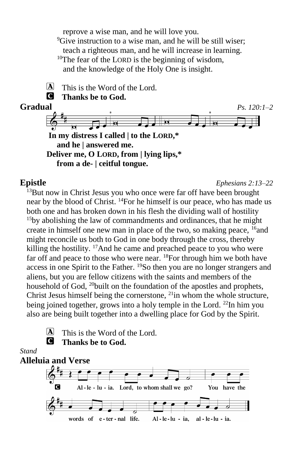reprove a wise man, and he will love you. <sup>9</sup>Give instruction to a wise man, and he will be still wiser; teach a righteous man, and he will increase in learning. <sup>10</sup>The fear of the LORD is the beginning of wisdom, and the knowledge of the Holy One is insight.

 $[A]$  This is the Word of the Lord.

### C **Thanks be to God.**



**Epistle** *Ephesians 2:13–22*

 $13$ But now in Christ Jesus you who once were far off have been brought near by the blood of Christ. <sup>14</sup>For he himself is our peace, who has made us both one and has broken down in his flesh the dividing wall of hostility  $15$ by abolishing the law of commandments and ordinances, that he might create in himself one new man in place of the two, so making peace,  $16$  and might reconcile us both to God in one body through the cross, thereby killing the hostility. <sup>17</sup>And he came and preached peace to you who were far off and peace to those who were near. <sup>18</sup>For through him we both have access in one Spirit to the Father. <sup>19</sup>So then you are no longer strangers and aliens, but you are fellow citizens with the saints and members of the household of God, <sup>20</sup>built on the foundation of the apostles and prophets, Christ Jesus himself being the cornerstone,  $^{21}$ in whom the whole structure, being joined together, grows into a holy temple in the Lord. <sup>22</sup>In him you also are being built together into a dwelling place for God by the Spirit.

 $\overline{A}$  This is the Word of the Lord. C **Thanks be to God.**

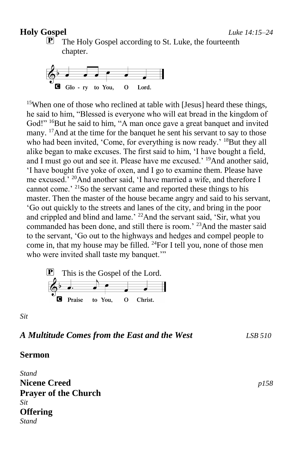### **Holy Gospel** *Luke 14:15–24*

 $\mathbf{P}$  The Holy Gospel according to St. Luke, the fourteenth chapter.



<sup>15</sup>When one of those who reclined at table with [Jesus] heard these things, he said to him, "Blessed is everyone who will eat bread in the kingdom of God!" <sup>16</sup>But he said to him, "A man once gave a great banquet and invited many. <sup>17</sup>And at the time for the banquet he sent his servant to say to those who had been invited, 'Come, for everything is now ready.' <sup>18</sup>But they all alike began to make excuses. The first said to him, 'I have bought a field, and I must go out and see it. Please have me excused.' <sup>19</sup>And another said, 'I have bought five yoke of oxen, and I go to examine them. Please have me excused.' <sup>20</sup>And another said, 'I have married a wife, and therefore I cannot come.' <sup>21</sup>So the servant came and reported these things to his master. Then the master of the house became angry and said to his servant, 'Go out quickly to the streets and lanes of the city, and bring in the poor and crippled and blind and lame.' <sup>22</sup>And the servant said, 'Sir, what you commanded has been done, and still there is room.' <sup>23</sup>And the master said to the servant, 'Go out to the highways and hedges and compel people to come in, that my house may be filled. <sup>24</sup>For I tell you, none of those men who were invited shall taste my banquet."

P This is the Gospel of the Lord.

*Sit*

### *A Multitude Comes from the East and the West LSB 510*

### **Sermon**

*Stand* **Nicene Creed** *p158* **Prayer of the Church** *Sit* **Offering** *Stand*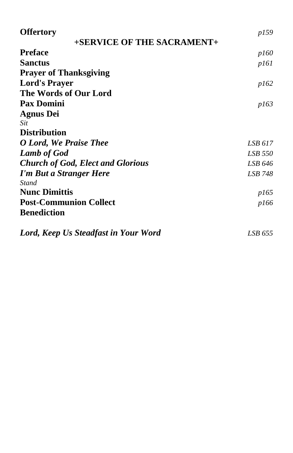| <b>Offertory</b>                         | p159    |
|------------------------------------------|---------|
| +SERVICE OF THE SACRAMENT+               |         |
| <b>Preface</b>                           | p160    |
| <b>Sanctus</b>                           | p161    |
| <b>Prayer of Thanksgiving</b>            |         |
| <b>Lord's Prayer</b>                     | p162    |
| The Words of Our Lord                    |         |
| <b>Pax Domini</b>                        | p163    |
| <b>Agnus Dei</b>                         |         |
| Sit                                      |         |
| <b>Distribution</b>                      |         |
| O Lord, We Praise Thee                   | LSB 617 |
| <b>Lamb of God</b>                       | LSB 550 |
| <b>Church of God, Elect and Glorious</b> | LSB 646 |
| I'm But a Stranger Here                  | LSB 748 |
| Stand                                    |         |
| <b>Nunc Dimittis</b>                     | p165    |
| <b>Post-Communion Collect</b>            | p166    |
| <b>Benediction</b>                       |         |
| Lord, Keep Us Steadfast in Your Word     | LSB 655 |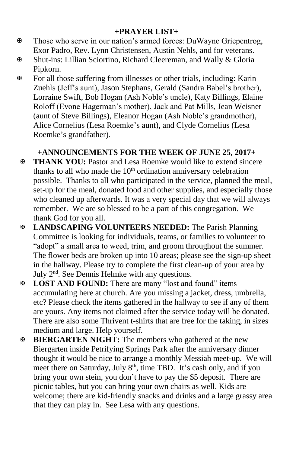## **+PRAYER LIST+**

- Those who serve in our nation's armed forces: DuWayne Griepentrog, Exor Padro, Rev. Lynn Christensen, Austin Nehls, and for veterans.
- Shut-ins: Lillian Sciortino, Richard Cleereman, and Wally & Gloria Pipkorn.
- For all those suffering from illnesses or other trials, including: Karin Zuehls (Jeff's aunt), Jason Stephans, Gerald (Sandra Babel's brother), Lorraine Swift, Bob Hogan (Ash Noble's uncle), Katy Billings, Elaine Roloff (Evone Hagerman's mother), Jack and Pat Mills, Jean Weisner (aunt of Steve Billings), Eleanor Hogan (Ash Noble's grandmother), Alice Cornelius (Lesa Roemke's aunt), and Clyde Cornelius (Lesa Roemke's grandfather).

# **+ANNOUNCEMENTS FOR THE WEEK OF JUNE 25, 2017+**

- **THANK YOU:** Pastor and Lesa Roemke would like to extend sincere thanks to all who made the  $10<sup>th</sup>$  ordination anniversary celebration possible. Thanks to all who participated in the service, planned the meal, set-up for the meal, donated food and other supplies, and especially those who cleaned up afterwards. It was a very special day that we will always remember. We are so blessed to be a part of this congregation. We thank God for you all.
- **LANDSCAPING VOLUNTEERS NEEDED:** The Parish Planning Committee is looking for individuals, teams, or families to volunteer to "adopt" a small area to weed, trim, and groom throughout the summer. The flower beds are broken up into 10 areas; please see the sign-up sheet in the hallway. Please try to complete the first clean-up of your area by July 2nd. See Dennis Helmke with any questions.
- **LOST AND FOUND:** There are many "lost and found" items accumulating here at church. Are you missing a jacket, dress, umbrella, etc? Please check the items gathered in the hallway to see if any of them are yours. Any items not claimed after the service today will be donated. There are also some Thrivent t-shirts that are free for the taking, in sizes medium and large. Help yourself.
- **BIERGARTEN NIGHT:** The members who gathered at the new Biergarten inside Petrifying Springs Park after the anniversary dinner thought it would be nice to arrange a monthly Messiah meet-up. We will meet there on Saturday, July 8<sup>th</sup>, time TBD. It's cash only, and if you bring your own stein, you don't have to pay the \$5 deposit. There are picnic tables, but you can bring your own chairs as well. Kids are welcome; there are kid-friendly snacks and drinks and a large grassy area that they can play in. See Lesa with any questions.